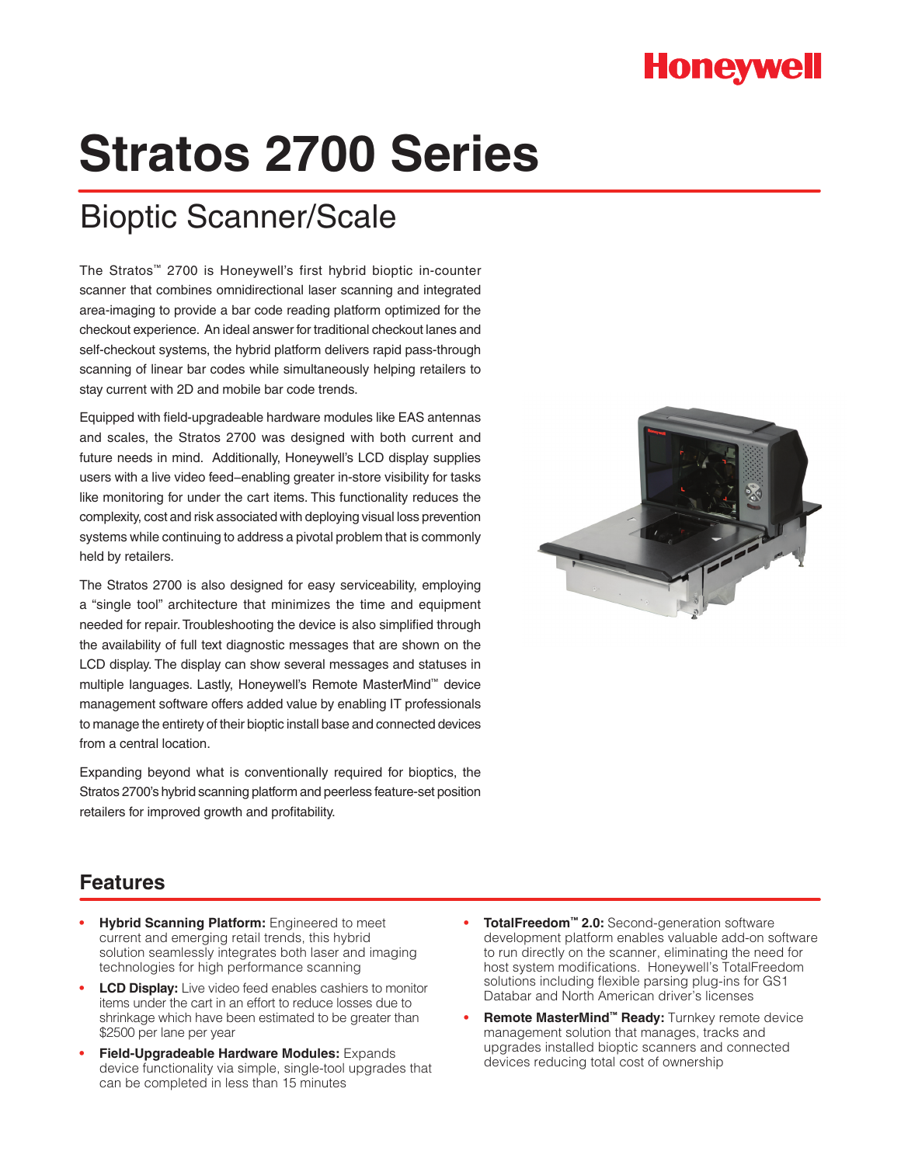# **Honeywell**

# **Stratos 2700 Series**

## Bioptic Scanner/Scale

The Stratos™ 2700 is Honeywell's first hybrid bioptic in-counter scanner that combines omnidirectional laser scanning and integrated area-imaging to provide a bar code reading platform optimized for the checkout experience. An ideal answer for traditional checkout lanes and self-checkout systems, the hybrid platform delivers rapid pass-through scanning of linear bar codes while simultaneously helping retailers to stay current with 2D and mobile bar code trends.

Equipped with field-upgradeable hardware modules like EAS antennas and scales, the Stratos 2700 was designed with both current and future needs in mind. Additionally, Honeywell's LCD display supplies users with a live video feed−enabling greater in-store visibility for tasks like monitoring for under the cart items. This functionality reduces the complexity, cost and risk associated with deploying visual loss prevention systems while continuing to address a pivotal problem that is commonly held by retailers.

The Stratos 2700 is also designed for easy serviceability, employing a "single tool" architecture that minimizes the time and equipment needed for repair. Troubleshooting the device is also simplified through the availability of full text diagnostic messages that are shown on the LCD display. The display can show several messages and statuses in multiple languages. Lastly, Honeywell's Remote MasterMind™ device management software offers added value by enabling IT professionals to manage the entirety of their bioptic install base and connected devices from a central location.

Expanding beyond what is conventionally required for bioptics, the Stratos 2700's hybrid scanning platform and peerless feature-set position retailers for improved growth and profitability.



### **Features**

- **Hybrid Scanning Platform:** Engineered to meet current and emerging retail trends, this hybrid solution seamlessly integrates both laser and imaging technologies for high performance scanning
- **LCD Display:** Live video feed enables cashiers to monitor items under the cart in an effort to reduce losses due to shrinkage which have been estimated to be greater than \$2500 per lane per year
- **Field-Upgradeable Hardware Modules:** Expands device functionality via simple, single-tool upgrades that can be completed in less than 15 minutes
- **TotalFreedom™ 2.0:** Second-generation software development platform enables valuable add-on software to run directly on the scanner, eliminating the need for host system modifications. Honeywell's TotalFreedom solutions including flexible parsing plug-ins for GS1 Databar and North American driver's licenses
- **Remote MasterMind™ Ready: Turnkey remote device** management solution that manages, tracks and upgrades installed bioptic scanners and connected devices reducing total cost of ownership